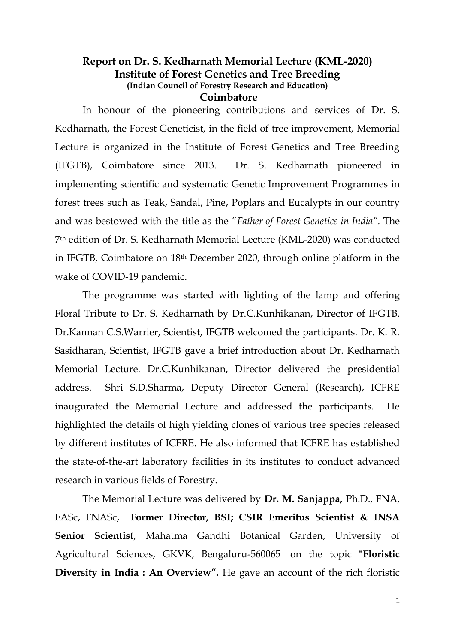## **Report on Dr. S. Kedharnath Memorial Lecture (KML-2020) Institute of Forest Genetics and Tree Breeding (Indian Council of Forestry Research and Education) Coimbatore**

In honour of the pioneering contributions and services of Dr. S. Kedharnath, the Forest Geneticist, in the field of tree improvement, Memorial Lecture is organized in the Institute of Forest Genetics and Tree Breeding (IFGTB), Coimbatore since 2013. Dr. S. Kedharnath pioneered in implementing scientific and systematic Genetic Improvement Programmes in forest trees such as Teak, Sandal, Pine, Poplars and Eucalypts in our country and was bestowed with the title as the "*Father of Forest Genetics in India".* The 7th edition of Dr. S. Kedharnath Memorial Lecture (KML-2020) was conducted in IFGTB, Coimbatore on 18th December 2020, through online platform in the wake of COVID-19 pandemic.

The programme was started with lighting of the lamp and offering Floral Tribute to Dr. S. Kedharnath by Dr.C.Kunhikanan, Director of IFGTB. Dr.Kannan C.S.Warrier, Scientist, IFGTB welcomed the participants. Dr. K. R. Sasidharan, Scientist, IFGTB gave a brief introduction about Dr. Kedharnath Memorial Lecture. Dr.C.Kunhikanan, Director delivered the presidential address. Shri S.D.Sharma, Deputy Director General (Research), ICFRE inaugurated the Memorial Lecture and addressed the participants. He highlighted the details of high yielding clones of various tree species released by different institutes of ICFRE. He also informed that ICFRE has established the state-of-the-art laboratory facilities in its institutes to conduct advanced research in various fields of Forestry.

The Memorial Lecture was delivered by **Dr. M. Sanjappa,** Ph.D., FNA, FASc, FNASc, **Former Director, BSI; CSIR Emeritus Scientist & INSA Senior Scientist**, Mahatma Gandhi Botanical Garden, University of Agricultural Sciences, GKVK, Bengaluru-560065 on the topic **"Floristic Diversity in India : An Overview".** He gave an account of the rich floristic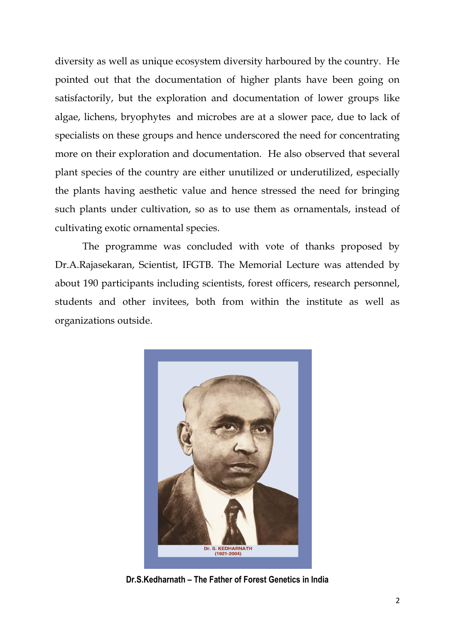diversity as well as unique ecosystem diversity harboured by the country. He pointed out that the documentation of higher plants have been going on satisfactorily, but the exploration and documentation of lower groups like algae, lichens, bryophytes and microbes are at a slower pace, due to lack of specialists on these groups and hence underscored the need for concentrating more on their exploration and documentation. He also observed that several plant species of the country are either unutilized or underutilized, especially the plants having aesthetic value and hence stressed the need for bringing such plants under cultivation, so as to use them as ornamentals, instead of cultivating exotic ornamental species.

The programme was concluded with vote of thanks proposed by Dr.A.Rajasekaran, Scientist, IFGTB. The Memorial Lecture was attended by about 190 participants including scientists, forest officers, research personnel, students and other invitees, both from within the institute as well as organizations outside.



**Dr.S.Kedharnath – The Father of Forest Genetics in India**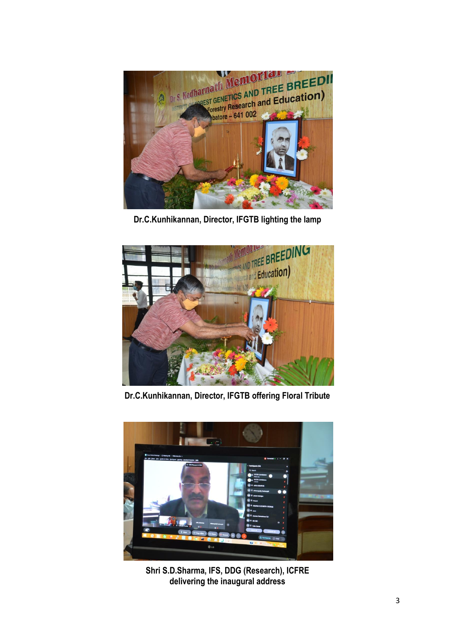

**Dr.C.Kunhikannan, Director, IFGTB lighting the lamp**



**Dr.C.Kunhikannan, Director, IFGTB offering Floral Tribute**



**Shri S.D.Sharma, IFS, DDG (Research), ICFRE delivering the inaugural address**